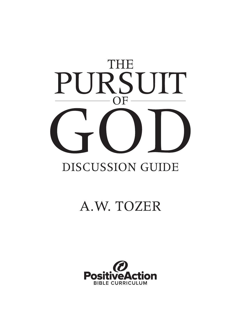

## A.W. TOZER

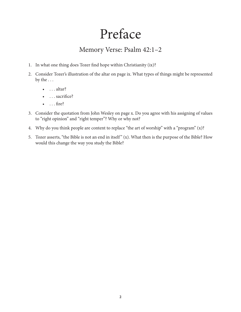## Preface

## Memory Verse: Psalm 42:1–2

- 1. In what one thing does Tozer find hope within Christianity (ix)?
- 2. Consider Tozer's illustration of the altar on page ix. What types of things might be represented by the . . .
	- $\bullet$  ... altar?
	- ... sacrifice?
	- $\bullet$  ... fire?
- 3. Consider the quotation from John Wesley on page x. Do you agree with his assigning of values to "right opinion" and "right temper"? Why or why not?
- 4. Why do you think people are content to replace "the art of worship" with a "program" (x)?
- 5. Tozer asserts, "the Bible is not an end in itself " (x). What then is the purpose of the Bible? How would this change the way you study the Bible?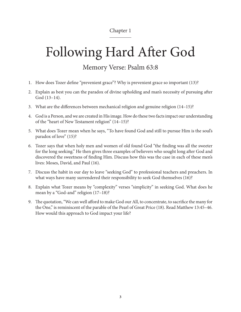# Following Hard After God

### Memory Verse: Psalm 63:8

- 1. How does Tozer define "prevenient grace"? Why is prevenient grace so important (13)?
- 2. Explain as best you can the paradox of divine upholding and man's necessity of pursuing after God (13–14).
- 3. What are the differences between mechanical religion and genuine religion (14–15)?
- 4. God is a Person, and we are created in His image. How do these two facts impact our understanding of the "heart of New Testament religion" (14–15)?
- 5. What does Tozer mean when he says, "To have found God and still to pursue Him is the soul's paradox of love" (15)?
- 6. Tozer says that when holy men and women of old found God "the finding was all the sweeter for the long seeking." He then gives three examples of believers who sought long after God and discovered the sweetness of finding Him. Discuss how this was the case in each of these men's lives: Moses, David, and Paul (16).
- 7. Discuss the habit in our day to leave "seeking God" to professional teachers and preachers. In what ways have many surrendered their responsibility to seek God themselves (16)?
- 8. Explain what Tozer means by "complexity" verses "simplicity" in seeking God. What does he mean by a "God-and" religion (17–18)?
- 9. The quotation, "We can well afford to make God our All, to concentrate, to sacrifice the many for the One," is reminiscent of the parable of the Pearl of Great Price (18). Read Matthew 13:45–46. How would this approach to God impact your life?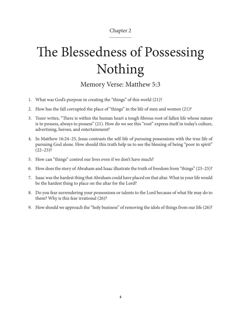# The Blessedness of Possessing Nothing

Memory Verse: Matthew 5:3

- 1. What was God's purpose in creating the "things" of this world (21)?
- 2. How has the fall corrupted the place of "things" in the life of men and women (21)?
- 3. Tozer writes, "There is within the human heart a tough fibrous root of fallen life whose nature is to possess, always to possess" (21). How do we see this "root" express itself in today's culture, advertising, heroes, and entertainment?
- 4. In Matthew 16:24–25, Jesus contrasts the self-life of pursuing possessions with the true life of pursuing God alone. How should this truth help us to see the blessing of being "poor in spirit"  $(22-23)$ ?
- 5. How can "things" control our lives even if we don't have much?
- 6. How does the story of Abraham and Isaac illustrate the truth of freedom from "things" (23–25)?
- 7. Isaac was the hardest thing that Abraham could have placed on that altar. What in your life would be the hardest thing to place on the altar for the Lord?
- 8. Do you fear surrendering your possessions or talents to the Lord because of what He may do to them? Why is this fear irrational (26)?
- 9. How should we approach the "holy business" of removing the idols of things from our life (26)?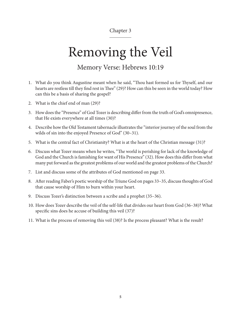## Removing the Veil

### Memory Verse: Hebrews 10:19

- 1. What do you think Augustine meant when he said, "Thou hast formed us for Thyself, and our hearts are restless till they find rest in Thee" (29)? How can this be seen in the world today? How can this be a basis of sharing the gospel?
- 2. What is the chief end of man (29)?
- 3. How does the "Presence" of God Tozer is describing differ from the truth of God's omnipresence, that He exists everywhere at all times (30)?
- 4. Describe how the Old Testament tabernacle illustrates the "interior journey of the soul from the wilds of sin into the enjoyed Presence of God" (30–31).
- 5. What is the central fact of Christianity? What is at the heart of the Christian message (31)?
- 6. Discuss what Tozer means when he writes, "The world is perishing for lack of the knowledge of God and the Church is famishing for want of His Presence" (32). How does this differ from what many put forward as the greatest problems of our world and the greatest problems of the Church?
- 7. List and discuss some of the attributes of God mentioned on page 33.
- 8. After reading Faber's poetic worship of the Triune God on pages 33–35, discuss thoughts of God that cause worship of Him to burn within your heart.
- 9. Discuss Tozer's distinction between a scribe and a prophet (35–36).
- 10. How does Tozer describe the veil of the self-life that divides our heart from God (36–38)? What specific sins does he accuse of building this veil (37)?
- 11. What is the process of removing this veil (38)? Is the process pleasant? What is the result?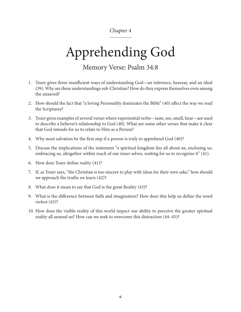# Apprehending God

### Memory Verse: Psalm 34:8

- 1. Tozer gives three insufficient ways of understanding God—an inference, hearsay, and an ideal (39). Why are these understandings sub-Christian? How do they express themselves even among the unsaved?
- 2. How should the fact that "a loving Personality dominates the Bible" (40) affect the way we read the Scriptures?
- 3. Tozer gives examples of several verses where experiential verbs—taste, see, smell, hear—are used to describe a believer's relationship to God (40). What are some other verses that make it clear that God intends for us to relate to Him as a Person?
- 4. Why must salvation be the first step if a person is truly to apprehend God (40)?
- 5. Discuss the implications of the statement "a spiritual kingdom lies all about us, enclosing us, embracing us, altogether within reach of our inner selves, waiting for us to recognize it" (41).
- 6. How does Tozer define *reality* (41)?
- 7. If, as Tozer says, "the Christian is too sincere to play with ideas for their own sake," how should we approach the truths we learn (42)?
- 8. What does it mean to say that God is the great Reality (43)?
- 9. What is the difference between faith and imagination? How does this help us define the word *reckon* (43)?
- 10. How does the visible reality of this world impact our ability to perceive the greater spiritual reality all around us? How can we seek to overcome this distraction (44–45)?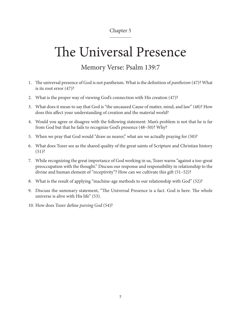## The Universal Presence

## Memory Verse: Psalm 139:7

- 1. The universal presence of God is not pantheism. What is the definition of *pantheism* (47)? What is its root error (47)?
- 2. What is the proper way of viewing God's connection with His creation (47)?
- 3. What does it mean to say that God is "the uncaused Cause of matter, mind, and law" (48)? How does this affect your understanding of creation and the material world?
- 4. Would you agree or disagree with the following statement: Man's problem is not that he is far from God but that he fails to recognize God's presence (48–50)? Why?
- 5. When we pray that God would "draw us nearer," what are we actually praying for (50)?
- 6. What does Tozer see as the shared quality of the great saints of Scripture and Christian history  $(51)$ ?
- 7. While recognizing the great importance of God working in us, Tozer warns "against a too-great preoccupation with the thought." Discuss our response and responsibility in relationship to the divine and human element of "receptivity"? How can we cultivate this gift (51–52)?
- 8. What is the result of applying "machine-age methods to our relationship with God" (52)?
- 9. Discuss the summary statement, "The Universal Presence is a fact. God is here. The whole universe is alive with His life" (53).
- 10. How does Tozer define *pursing God* (54)?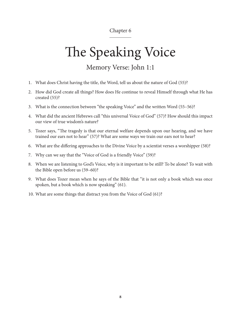# The Speaking Voice

### Memory Verse: John 1:1

- 1. What does Christ having the title, the Word, tell us about the nature of God (55)?
- 2. How did God create all things? How does He continue to reveal Himself through what He has created (55)?
- 3. What is the connection between "the speaking Voice" and the written Word (55–56)?
- 4. What did the ancient Hebrews call "this universal Voice of God" (57)? How should this impact our view of true wisdom's nature?
- 5. Tozer says, "The tragedy is that our eternal welfare depends upon our hearing, and we have trained our ears not to hear" (57)? What are some ways we train our ears not to hear?
- 6. What are the differing approaches to the Divine Voice by a scientist verses a worshipper (58)?
- 7. Why can we say that the "Voice of God is a friendly Voice" (59)?
- 8. When we are listening to God's Voice, why is it important to be still? To be alone? To wait with the Bible open before us (59–60)?
- 9. What does Tozer mean when he says of the Bible that "it is not only a book which was once spoken, but a book which is now speaking" (61).
- 10. What are some things that distract you from the Voice of God (61)?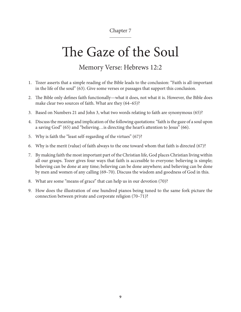## The Gaze of the Soul

### Memory Verse: Hebrews 12:2

- 1. Tozer asserts that a simple reading of the Bible leads to the conclusion: "Faith is all-important in the life of the soul" (63). Give some verses or passages that support this conclusion.
- 2. The Bible only defines faith functionally—what it does, not what it is. However, the Bible does make clear two sources of faith. What are they (64–65)?
- 3. Based on Numbers 21 and John 3, what two words relating to faith are synonymous (65)?
- 4. Discuss the meaning and implication of the following quotations: "faith is the gaze of a soul upon a saving God" (65) and "believing…is directing the heart's attention to Jesus" (66).
- 5. Why is faith the "least self-regarding of the virtues" (67)?
- 6. Why is the merit (value) of faith always to the one toward whom that faith is directed (67)?
- 7. By making faith the most important part of the Christian life, God places Christian living within all our grasps. Tozer gives four ways that faith is accessible to everyone: believing is simple; believing can be done at any time; believing can be done anywhere; and believing can be done by men and women of any calling (69–70). Discuss the wisdom and goodness of God in this.
- 8. What are some "means of grace" that can help us in our devotion (70)?
- 9. How does the illustration of one hundred pianos being tuned to the same fork picture the connection between private and corporate religion (70–71)?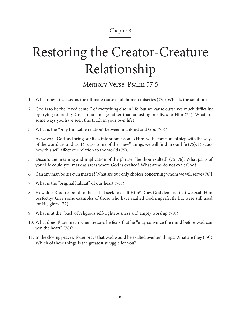# Restoring the Creator-Creature Relationship

Memory Verse: Psalm 57:5

- 1. What does Tozer see as the ultimate cause of all human miseries (73)? What is the solution?
- 2. God is to be the "fixed center" of everything else in life, but we cause ourselves much difficulty by trying to modify God to our image rather than adjusting our lives to Him (74). What are some ways you have seen this truth in your own life?
- 3. What is the "only thinkable relation" between mankind and God (75)?
- 4. As we exalt God and bring our lives into submission to Him, we become out of step with the ways of the world around us. Discuss some of the "new" things we will find in our life (75). Discuss how this will affect our relation to the world (75).
- 5. Discuss the meaning and implication of the phrase, "be thou exalted" (75–76). What parts of your life could you mark as areas where God is exalted? What areas do not exalt God?
- 6. Can any man be his own master? What are our only choices concerning whom we will serve (76)?
- 7. What is the "original habitat" of our heart (76)?
- 8. How does God respond to those that seek to exalt Him? Does God demand that we exalt Him perfectly? Give some examples of those who have exalted God imperfectly but were still used for His glory (77).
- 9. What is at the "back of religious self-righteousness and empty worship (78)?
- 10. What does Tozer mean when he says he fears that he "may convince the mind before God can win the heart" (78)?
- 11. In the closing prayer, Tozer prays that God would be exalted over ten things. What are they (79)? Which of these things is the greatest struggle for you?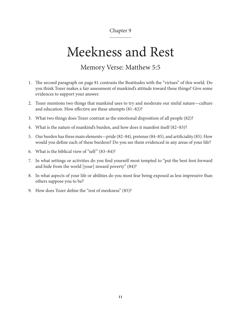## Meekness and Rest

### Memory Verse: Matthew 5:5

- 1. The second paragraph on page 81 contrasts the Beatitudes with the "virtues" of this world. Do you think Tozer makes a fair assessment of mankind's attitude toward these things? Give some evidences to support your answer.
- 2. Tozer mentions two things that mankind uses to try and moderate our sinful nature—culture and education. How effective are these attempts (81–82)?
- 3. What two things does Tozer contrast as the emotional disposition of all people (82)?
- 4. What is the nature of mankind's burden, and how does it manifest itself (82–83)?
- 5. Our burden has three main elements—pride (82–84), pretense (84–85), and artificiality (85). How would you define each of these burdens? Do you see them evidenced in any areas of your life?
- 6. What is the biblical view of "self"  $(83-84)$ ?
- 7. In what settings or activities do you find yourself most tempted to "put the best foot forward and hide from the world [your] inward poverty" (84)?
- 8. In what aspects of your life or abilities do you most fear being exposed as less impressive than others suppose you to be?
- 9. How does Tozer define the "rest of meekness" (85)?